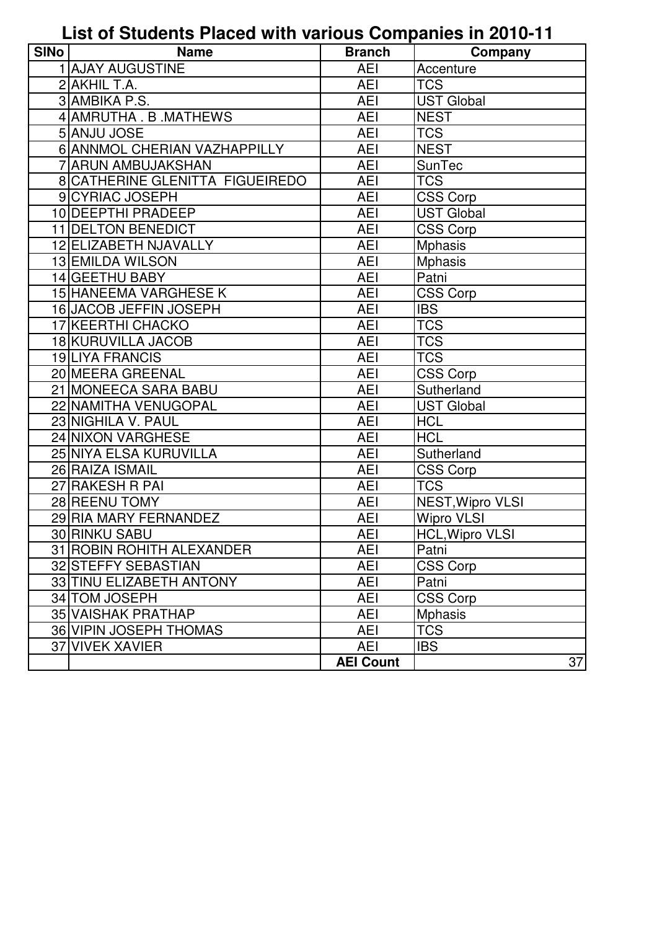## **List of Students Placed with various Companies in 2010-11**

| <b>SINo</b> | <b>Name</b>                            | <b>Branch</b>    | Company           |
|-------------|----------------------------------------|------------------|-------------------|
|             | 1 AJAY AUGUSTINE                       | <b>AEI</b>       | Accenture         |
|             | 2 AKHIL T.A.                           | <b>AEI</b>       | <b>TCS</b>        |
|             | 3 AMBIKA P.S.                          | <b>AEI</b>       | <b>UST Global</b> |
|             | 4 AMRUTHA . B. MATHEWS                 | <b>AEI</b>       | <b>NEST</b>       |
|             | 5 ANJU JOSE                            | <b>AEI</b>       | <b>TCS</b>        |
|             | 6 ANNMOL CHERIAN VAZHAPPILLY           | <b>AEI</b>       | <b>NEST</b>       |
|             | <b>7 ARUN AMBUJAKSHAN</b>              | <b>AEI</b>       | <b>SunTec</b>     |
|             | <b>8 CATHERINE GLENITTA FIGUEIREDO</b> | <b>AEI</b>       | <b>TCS</b>        |
|             | 9 CYRIAC JOSEPH                        | <b>AEI</b>       | <b>CSS Corp</b>   |
|             | 10 DEEPTHI PRADEEP                     | <b>AEI</b>       | <b>UST Global</b> |
|             | 11 DELTON BENEDICT                     | <b>AEI</b>       | <b>CSS Corp</b>   |
|             | 12 ELIZABETH NJAVALLY                  | <b>AEI</b>       | <b>Mphasis</b>    |
|             | 13 EMILDA WILSON                       | <b>AEI</b>       | <b>Mphasis</b>    |
|             | 14 GEETHU BABY                         | <b>AEI</b>       | Patni             |
|             | 15 HANEEMA VARGHESE K                  | <b>AEI</b>       | CSS Corp          |
|             | 16 JACOB JEFFIN JOSEPH                 | <b>AEI</b>       | <b>IBS</b>        |
|             | 17 KEERTHI CHACKO                      | <b>AEI</b>       | <b>TCS</b>        |
|             | 18 KURUVILLA JACOB                     | <b>AEI</b>       | <b>TCS</b>        |
|             | 19LIYA FRANCIS                         | <b>AEI</b>       | <b>TCS</b>        |
|             | 20 MEERA GREENAL                       | <b>AEI</b>       | CSS Corp          |
|             | 21 MONEECA SARA BABU                   | <b>AEI</b>       | Sutherland        |
|             | 22 NAMITHA VENUGOPAL                   | <b>AEI</b>       | <b>UST Global</b> |
|             | 23 NIGHILA V. PAUL                     | <b>AEI</b>       | <b>HCL</b>        |
|             | 24 NIXON VARGHESE                      | <b>AEI</b>       | <b>HCL</b>        |
|             | 25 NIYA ELSA KURUVILLA                 | <b>AEI</b>       | Sutherland        |
|             | 26 RAIZA ISMAIL                        | <b>AEI</b>       | CSS Corp          |
|             | 27 RAKESH R PAI                        | <b>AEI</b>       | <b>TCS</b>        |
|             | 28 REENU TOMY                          | AEI              | NEST, Wipro VLSI  |
|             | 29 RIA MARY FERNANDEZ                  | <b>AEI</b>       | <b>Wipro VLSI</b> |
|             | 30 RINKU SABU                          | <b>AEI</b>       | HCL, Wipro VLSI   |
|             | 31 ROBIN ROHITH ALEXANDER              | <b>AEI</b>       | Patni             |
|             | 32 STEFFY SEBASTIAN                    | <b>AEI</b>       | <b>CSS Corp</b>   |
|             | 33 TINU ELIZABETH ANTONY               | <b>AEI</b>       | Patni             |
|             | 34 TOM JOSEPH                          | <b>AEI</b>       | CSS Corp          |
|             | 35 VAISHAK PRATHAP                     | <b>AEI</b>       | <b>Mphasis</b>    |
|             | 36 VIPIN JOSEPH THOMAS                 | <b>AEI</b>       | <b>TCS</b>        |
|             | 37 VIVEK XAVIER                        | <b>AEI</b>       | <b>IBS</b>        |
|             |                                        | <b>AEI Count</b> | 37                |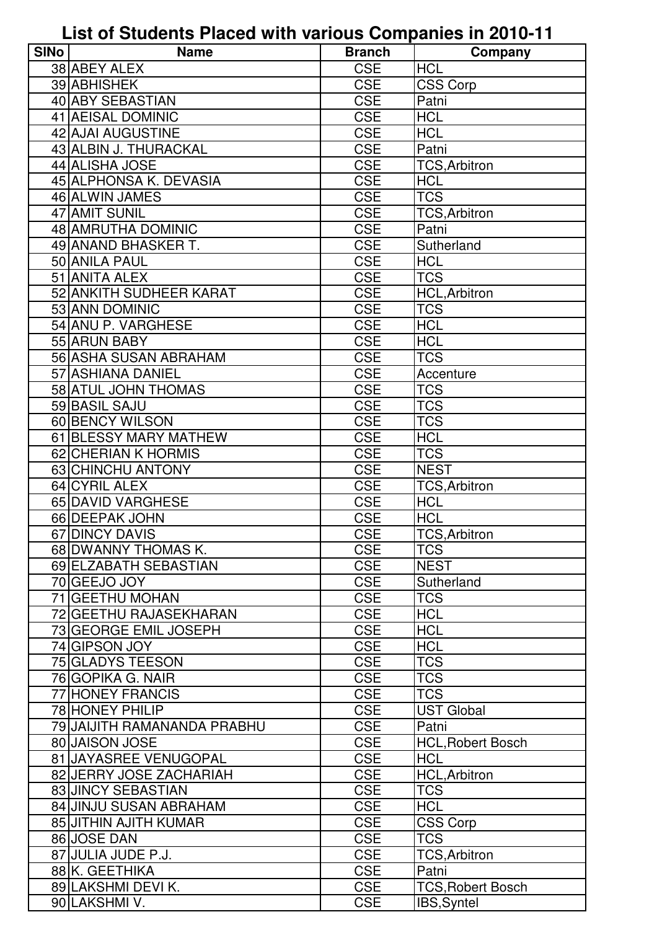**List of Students Placed with various Companies in 2010-11**

| <b>SINo</b> | <b>Name</b>                 | <b>Branch</b> | Company                  |
|-------------|-----------------------------|---------------|--------------------------|
|             | 38 ABEY ALEX                | <b>CSE</b>    | <b>HCL</b>               |
|             | 39 ABHISHEK                 | <b>CSE</b>    | <b>CSS Corp</b>          |
|             | 40 ABY SEBASTIAN            | <b>CSE</b>    | Patni                    |
|             | 41 AEISAL DOMINIC           | <b>CSE</b>    | <b>HCL</b>               |
|             | 42 AJAI AUGUSTINE           | <b>CSE</b>    | <b>HCL</b>               |
|             | 43 ALBIN J. THURACKAL       | <b>CSE</b>    | Patni                    |
|             | 44 ALISHA JOSE              | <b>CSE</b>    | <b>TCS, Arbitron</b>     |
|             | 45 ALPHONSA K. DEVASIA      | <b>CSE</b>    | <b>HCL</b>               |
|             | 46 ALWIN JAMES              | <b>CSE</b>    | <b>TCS</b>               |
|             | 47 AMIT SUNIL               | <b>CSE</b>    | <b>TCS, Arbitron</b>     |
|             | 48 AMRUTHA DOMINIC          | <b>CSE</b>    | Patni                    |
|             | 49 ANAND BHASKER T.         | <b>CSE</b>    | Sutherland               |
|             | 50 ANILA PAUL               | <b>CSE</b>    | <b>HCL</b>               |
|             | 51 ANITA ALEX               | <b>CSE</b>    | <b>TCS</b>               |
|             | 52 ANKITH SUDHEER KARAT     | <b>CSE</b>    | <b>HCL, Arbitron</b>     |
|             | 53 ANN DOMINIC              | <b>CSE</b>    | <b>TCS</b>               |
|             | 54 ANU P. VARGHESE          | <b>CSE</b>    | <b>HCL</b>               |
|             | 55 ARUN BABY                | <b>CSE</b>    | <b>HCL</b>               |
|             | 56 ASHA SUSAN ABRAHAM       | <b>CSE</b>    | <b>TCS</b>               |
|             | 57 ASHIANA DANIEL           | <b>CSE</b>    | Accenture                |
|             | 58 ATUL JOHN THOMAS         | <b>CSE</b>    | <b>TCS</b>               |
|             | 59 BASIL SAJU               | <b>CSE</b>    | <b>TCS</b>               |
|             | 60 BENCY WILSON             | <b>CSE</b>    | <b>TCS</b>               |
|             | 61 BLESSY MARY MATHEW       | <b>CSE</b>    | <b>HCL</b>               |
|             | 62 CHERIAN K HORMIS         | <b>CSE</b>    | <b>TCS</b>               |
|             | 63 CHINCHU ANTONY           | <b>CSE</b>    | <b>NEST</b>              |
|             | 64 CYRIL ALEX               | <b>CSE</b>    | <b>TCS, Arbitron</b>     |
|             | 65 DAVID VARGHESE           | <b>CSE</b>    | <b>HCL</b>               |
|             | 66 DEEPAK JOHN              | <b>CSE</b>    | <b>HCL</b>               |
|             | 67 DINCY DAVIS              | <b>CSE</b>    | <b>TCS.Arbitron</b>      |
|             | 68 DWANNY THOMAS K.         | <b>CSE</b>    | <b>TCS</b>               |
|             | 69 ELZABATH SEBASTIAN       | <b>CSE</b>    | <b>NEST</b>              |
|             | 70 GEEJO JOY                | <b>CSE</b>    | Sutherland               |
|             | 71 GEETHU MOHAN             | <b>CSE</b>    | <b>TCS</b>               |
|             | 72 GEETHU RAJASEKHARAN      | <b>CSE</b>    | <b>HCL</b>               |
|             | 73 GEORGE EMIL JOSEPH       | <b>CSE</b>    | <b>HCL</b>               |
|             | 74 GIPSON JOY               | <b>CSE</b>    | <b>HCL</b>               |
|             | 75 GLADYS TEESON            | <b>CSE</b>    | <b>TCS</b>               |
|             | 76 GOPIKA G. NAIR           | <b>CSE</b>    | <b>TCS</b>               |
|             | 77 HONEY FRANCIS            | <b>CSE</b>    | <b>TCS</b>               |
|             | 78 HONEY PHILIP             | <b>CSE</b>    | <b>UST Global</b>        |
|             | 79 JAIJITH RAMANANDA PRABHU | <b>CSE</b>    | Patni                    |
|             | 80 JAISON JOSE              | <b>CSE</b>    | <b>HCL, Robert Bosch</b> |
|             | 81 JAYASREE VENUGOPAL       | <b>CSE</b>    | <b>HCL</b>               |
|             | 82 JERRY JOSE ZACHARIAH     | <b>CSE</b>    | <b>HCL, Arbitron</b>     |
|             | 83 JINCY SEBASTIAN          | <b>CSE</b>    | <b>TCS</b>               |
|             | 84 JINJU SUSAN ABRAHAM      | <b>CSE</b>    | <b>HCL</b>               |
|             | 85 JITHIN AJITH KUMAR       | <b>CSE</b>    | <b>CSS Corp</b>          |
|             | 86 JOSE DAN                 | <b>CSE</b>    | <b>TCS</b>               |
|             | 87 JULIA JUDE P.J.          | <b>CSE</b>    | <b>TCS, Arbitron</b>     |
|             | 88 K. GEETHIKA              | <b>CSE</b>    | Patni                    |
|             | 89 LAKSHMI DEVI K.          | <b>CSE</b>    | <b>TCS, Robert Bosch</b> |
|             | 90 LAKSHMI V.               | <b>CSE</b>    | IBS, Syntel              |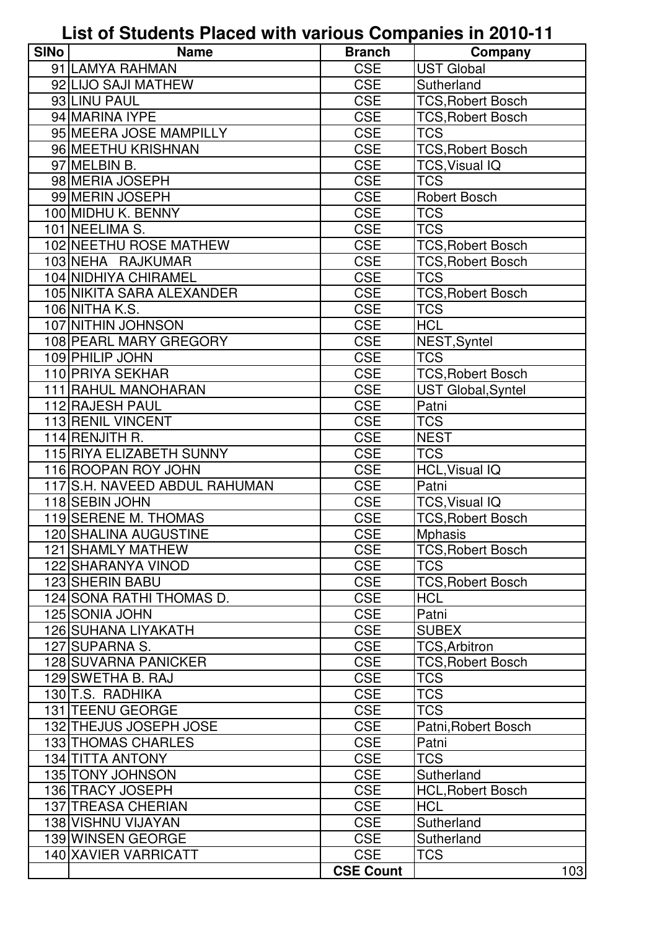**List of Students Placed with various Companies in 2010-11**

| <b>SINo</b> | <b>Name</b>                   | <b>Branch</b>    | Company                  |
|-------------|-------------------------------|------------------|--------------------------|
|             | 91 LAMYA RAHMAN               | <b>CSE</b>       | <b>UST Global</b>        |
|             | 92 LIJO SAJI MATHEW           | <b>CSE</b>       | Sutherland               |
|             | 93 LINU PAUL                  | <b>CSE</b>       | <b>TCS, Robert Bosch</b> |
|             | 94 MARINA IYPE                | <b>CSE</b>       | <b>TCS, Robert Bosch</b> |
|             | 95 MEERA JOSE MAMPILLY        | <b>CSE</b>       | <b>TCS</b>               |
|             | 96 MEETHU KRISHNAN            | <b>CSE</b>       | <b>TCS, Robert Bosch</b> |
|             | 97 MELBIN B.                  | <b>CSE</b>       | <b>TCS, Visual IQ</b>    |
|             | 98 MERIA JOSEPH               | <b>CSE</b>       | <b>TCS</b>               |
|             | 99 MERIN JOSEPH               | <b>CSE</b>       | <b>Robert Bosch</b>      |
|             | 100 MIDHU K. BENNY            | <b>CSE</b>       | <b>TCS</b>               |
|             | 101 NEELIMA S.                | <b>CSE</b>       | <b>TCS</b>               |
|             | 102 NEETHU ROSE MATHEW        | <b>CSE</b>       | <b>TCS, Robert Bosch</b> |
|             | 103 NEHA RAJKUMAR             | <b>CSE</b>       | <b>TCS, Robert Bosch</b> |
|             | 104 NIDHIYA CHIRAMEL          | <b>CSE</b>       | <b>TCS</b>               |
|             | 105 NIKITA SARA ALEXANDER     | <b>CSE</b>       | <b>TCS, Robert Bosch</b> |
|             | 106 NITHA K.S.                | <b>CSE</b>       | <b>TCS</b>               |
|             | 107 NITHIN JOHNSON            | <b>CSE</b>       | <b>HCL</b>               |
|             | 108 PEARL MARY GREGORY        | <b>CSE</b>       | NEST, Syntel             |
|             | 109 PHILIP JOHN               | <b>CSE</b>       | <b>TCS</b>               |
|             | 110 PRIYA SEKHAR              | <b>CSE</b>       | <b>TCS, Robert Bosch</b> |
|             | 111 RAHUL MANOHARAN           | <b>CSE</b>       | UST Global, Syntel       |
|             | 112 RAJESH PAUL               | <b>CSE</b>       | Patni                    |
|             | 113 RENIL VINCENT             | <b>CSE</b>       | <b>TCS</b>               |
|             | 114 RENJITH R.                | <b>CSE</b>       | <b>NEST</b>              |
|             | 115 RIYA ELIZABETH SUNNY      | <b>CSE</b>       | <b>TCS</b>               |
|             | 116 ROOPAN ROY JOHN           | <b>CSE</b>       | <b>HCL, Visual IQ</b>    |
|             | 117 S.H. NAVEED ABDUL RAHUMAN | <b>CSE</b>       | Patni                    |
|             | 118 SEBIN JOHN                | <b>CSE</b>       | TCS, Visual IQ           |
|             | 119 SERENE M. THOMAS          | <b>CSE</b>       | <b>TCS, Robert Bosch</b> |
|             | 120 SHALINA AUGUSTINE         | <b>CSE</b>       | <b>Mphasis</b>           |
|             | 121 SHAMLY MATHEW             | <b>CSE</b>       | <b>TCS, Robert Bosch</b> |
|             | 122 SHARANYA VINOD            | <b>CSE</b>       | TCS                      |
|             | 123 SHERIN BABU               | <b>CSE</b>       | <b>TCS, Robert Bosch</b> |
|             | 124 SONA RATHI THOMAS D.      | <b>CSE</b>       | <b>HCL</b>               |
|             | 125 SONIA JOHN                | <b>CSE</b>       | Patni                    |
|             | 126 SUHANA LIYAKATH           | <b>CSE</b>       | <b>SUBEX</b>             |
|             | 127 SUPARNA S.                | <b>CSE</b>       | <b>TCS, Arbitron</b>     |
|             | <b>128 SUVARNA PANICKER</b>   | <b>CSE</b>       | <b>TCS, Robert Bosch</b> |
|             | 129 SWETHA B. RAJ             | <b>CSE</b>       | <b>TCS</b>               |
|             | 130 T.S. RADHIKA              | <b>CSE</b>       | <b>TCS</b>               |
|             | 131 TEENU GEORGE              | <b>CSE</b>       | TCS                      |
|             | 132 THEJUS JOSEPH JOSE        | <b>CSE</b>       | Patni, Robert Bosch      |
|             | 133 THOMAS CHARLES            | <b>CSE</b>       | Patni                    |
|             | 134 TITTA ANTONY              | <b>CSE</b>       | <b>TCS</b>               |
|             | 135 TONY JOHNSON              | <b>CSE</b>       | Sutherland               |
|             | 136 TRACY JOSEPH              | <b>CSE</b>       | <b>HCL, Robert Bosch</b> |
|             | 137 TREASA CHERIAN            | <b>CSE</b>       | <b>HCL</b>               |
|             | 138 VISHNU VIJAYAN            | <b>CSE</b>       | Sutherland               |
|             | 139 WINSEN GEORGE             | <b>CSE</b>       | Sutherland               |
|             | 140 XAVIER VARRICATT          | <b>CSE</b>       | <b>TCS</b>               |
|             |                               | <b>CSE Count</b> | 103                      |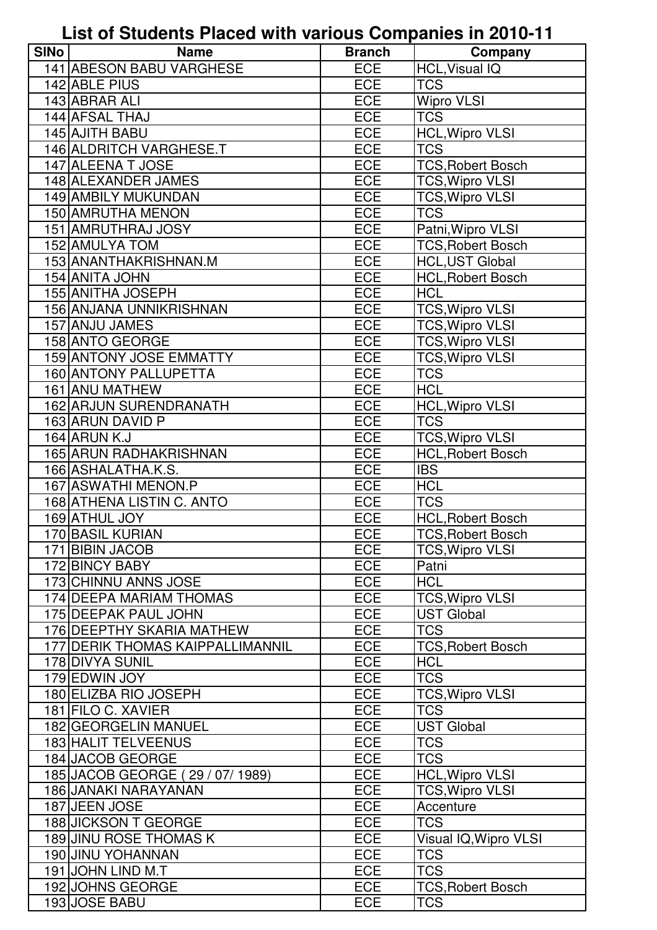## **List of Students Placed with various Companies in 2010-11**

| <b>SINo</b> | <b>Name</b>                             | <b>Branch</b>     | Company                       |
|-------------|-----------------------------------------|-------------------|-------------------------------|
|             | 141 ABESON BABU VARGHESE                | ECE               | <b>HCL, Visual IQ</b>         |
|             | 142 ABLE PIUS                           | <b>ECE</b>        | <b>TCS</b>                    |
|             | 143 ABRAR ALI                           | <b>ECE</b>        | <b>Wipro VLSI</b>             |
|             | 144 AFSAL THAJ                          | <b>ECE</b>        | <b>TCS</b>                    |
|             | 145 AJITH BABU                          | <b>ECE</b>        | <b>HCL, Wipro VLSI</b>        |
|             | 146 ALDRITCH VARGHESE.T                 | ECE               | <b>TCS</b>                    |
|             | 147 ALEENA T JOSE                       | <b>ECE</b>        | <b>TCS, Robert Bosch</b>      |
|             | 148 ALEXANDER JAMES                     | <b>ECE</b>        | <b>TCS, Wipro VLSI</b>        |
|             | 149 AMBILY MUKUNDAN                     | <b>ECE</b>        | <b>TCS, Wipro VLSI</b>        |
|             | 150 AMRUTHA MENON                       | <b>ECE</b>        | <b>TCS</b>                    |
|             | 151 AMRUTHRAJ JOSY                      | <b>ECE</b>        | Patni, Wipro VLSI             |
|             | 152 AMULYA TOM                          | <b>ECE</b>        | <b>TCS, Robert Bosch</b>      |
|             | 153 ANANTHAKRISHNAN.M                   | ECE               | <b>HCL, UST Global</b>        |
|             | 154 ANITA JOHN                          | <b>ECE</b>        | <b>HCL, Robert Bosch</b>      |
|             | 155 ANITHA JOSEPH                       | ECE               | <b>HCL</b>                    |
|             | 156 ANJANA UNNIKRISHNAN                 | <b>ECE</b>        | <b>TCS, Wipro VLSI</b>        |
|             | 157 ANJU JAMES                          | <b>ECE</b>        | <b>TCS, Wipro VLSI</b>        |
|             | 158 ANTO GEORGE                         | <b>ECE</b>        | <b>TCS, Wipro VLSI</b>        |
|             | 159 ANTONY JOSE EMMATTY                 | <b>ECE</b>        | <b>TCS, Wipro VLSI</b>        |
|             | 160 ANTONY PALLUPETTA                   | ECE               | <b>TCS</b>                    |
|             | 161 ANU MATHEW                          | <b>ECE</b>        | <b>HCL</b>                    |
|             | 162 ARJUN SURENDRANATH                  | <b>ECE</b>        | <b>HCL, Wipro VLSI</b>        |
|             | 163 ARUN DAVID P                        | <b>ECE</b>        | <b>TCS</b>                    |
|             | 164 ARUN K.J                            | ECE               | TCS, Wipro VLSI               |
|             | 165 ARUN RADHAKRISHNAN                  | <b>ECE</b>        | <b>HCL, Robert Bosch</b>      |
|             | 166 ASHALATHA.K.S.                      | <b>ECE</b>        | <b>IBS</b>                    |
|             | 167 ASWATHI MENON.P                     | ECE               | <b>HCL</b>                    |
|             | 168 ATHENA LISTIN C. ANTO               | <b>ECE</b>        | <b>TCS</b>                    |
|             | 169 ATHUL JOY                           | <b>ECE</b>        | <b>HCL, Robert Bosch</b>      |
|             | 170 BASIL KURIAN                        | <b>ECE</b>        | <b>TCS, Robert Bosch</b>      |
|             | 171 BIBIN JACOB                         | <b>ECE</b>        | <b>TCS, Wipro VLSI</b>        |
|             | 172 BINCY BABY                          | ECE               | Patni                         |
|             | 173 CHINNU ANNS JOSE                    | <b>ECE</b>        | <b>HCL</b>                    |
|             | 174 DEEPA MARIAM THOMAS                 | <b>ECE</b>        | <b>TCS, Wipro VLSI</b>        |
|             | 175 DEEPAK PAUL JOHN                    | <b>ECE</b>        | <b>UST Global</b>             |
|             | 176 DEEPTHY SKARIA MATHEW               | <b>ECE</b>        | <b>TCS</b>                    |
|             | <b>177 DERIK THOMAS KAIPPALLIMANNIL</b> | ECE               | <b>TCS, Robert Bosch</b>      |
|             | 178 DIVYA SUNIL                         | <b>ECE</b>        | <b>HCL</b>                    |
|             | 179 EDWIN JOY                           | ECE               | <b>TCS</b>                    |
|             | 180 ELIZBA RIO JOSEPH                   | <b>ECE</b>        | <b>TCS, Wipro VLSI</b>        |
|             | 181 FILO C. XAVIER                      | ECE               | <b>TCS</b>                    |
|             | 182 GEORGELIN MANUEL                    | <b>ECE</b>        | <b>UST Global</b>             |
|             | 183 HALIT TELVEENUS<br>184 JACOB GEORGE | <b>ECE</b><br>ECE | <b>TCS</b><br><b>TCS</b>      |
|             | 185 JACOB GEORGE (29 / 07/ 1989)        | ECE               | <b>HCL, Wipro VLSI</b>        |
|             | 186 JANAKI NARAYANAN                    | ECE               | <b>TCS, Wipro VLSI</b>        |
|             | 187 JEEN JOSE                           | <b>ECE</b>        |                               |
|             | 188 JICKSON T GEORGE                    | <b>ECE</b>        | Accenture<br>$TC\overline{S}$ |
|             | <b>189 JINU ROSE THOMAS K</b>           | ECE               | Visual IQ, Wipro VLSI         |
|             | 190 JINU YOHANNAN                       | <b>ECE</b>        | <b>TCS</b>                    |
|             | 191 JOHN LIND M.T                       | ECE               | <b>TCS</b>                    |
|             | 192 JOHNS GEORGE                        | <b>ECE</b>        | <b>TCS, Robert Bosch</b>      |
|             | 193 JOSE BABU                           | <b>ECE</b>        | <b>TCS</b>                    |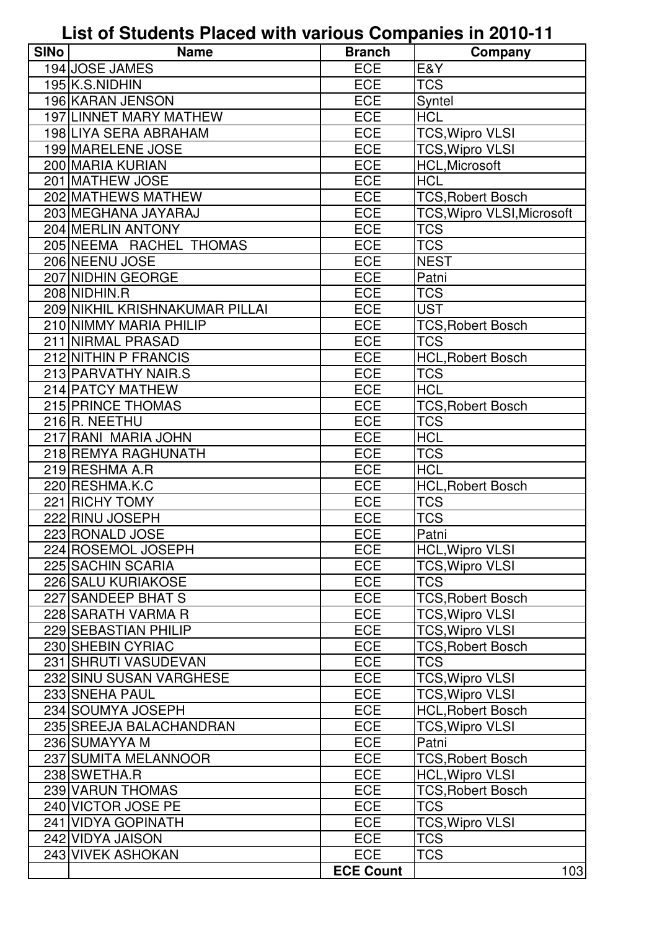**List of Students Placed with various Companies in 2010-11**

| <b>SINo</b> | <b>Name</b>                    | <b>Branch</b>    | Company                           |
|-------------|--------------------------------|------------------|-----------------------------------|
|             | 194 JOSE JAMES                 | <b>ECE</b>       | E&Y                               |
|             | 195 K.S.NIDHIN                 | <b>ECE</b>       | <b>TCS</b>                        |
|             | 196 KARAN JENSON               | <b>ECE</b>       | Syntel                            |
|             | <b>197 LINNET MARY MATHEW</b>  | <b>ECE</b>       | <b>HCL</b>                        |
|             | 198 LIYA SERA ABRAHAM          | <b>ECE</b>       | TCS, Wipro VLSI                   |
|             | 199 MARELENE JOSE              | <b>ECE</b>       | <b>TCS, Wipro VLSI</b>            |
|             | 200 MARIA KURIAN               | <b>ECE</b>       | <b>HCL, Microsoft</b>             |
|             | 201 MATHEW JOSE                | <b>ECE</b>       | <b>HCL</b>                        |
|             | 202 MATHEWS MATHEW             | <b>ECE</b>       | <b>TCS, Robert Bosch</b>          |
|             | 203 MEGHANA JAYARAJ            | ECE              | <b>TCS, Wipro VLSI, Microsoft</b> |
|             | 204 MERLIN ANTONY              | <b>ECE</b>       | <b>TCS</b>                        |
|             | 205 NEEMA RACHEL THOMAS        | <b>ECE</b>       | <b>TCS</b>                        |
|             | 206 NEENU JOSE                 | <b>ECE</b>       | <b>NEST</b>                       |
|             | 207 NIDHIN GEORGE              | <b>ECE</b>       | Patni                             |
|             | 208 NIDHIN.R                   | ECE              | <b>TCS</b>                        |
|             | 209 NIKHIL KRISHNAKUMAR PILLAI | <b>ECE</b>       | <b>UST</b>                        |
|             | 210 NIMMY MARIA PHILIP         | <b>ECE</b>       | <b>TCS, Robert Bosch</b>          |
|             | 211 NIRMAL PRASAD              | <b>ECE</b>       | <b>TCS</b>                        |
|             | 212 NITHIN P FRANCIS           | ECE              | <b>HCL, Robert Bosch</b>          |
|             | 213 PARVATHY NAIR.S            | <b>ECE</b>       | <b>TCS</b>                        |
|             | 214 PATCY MATHEW               | ECE              | <b>HCL</b>                        |
|             | 215 PRINCE THOMAS              | <b>ECE</b>       | <b>TCS, Robert Bosch</b>          |
|             | 216R. NEETHU                   | <b>ECE</b>       | <b>TCS</b>                        |
|             | 217 RANI MARIA JOHN            | <b>ECE</b>       | <b>HCL</b>                        |
|             | 218 REMYA RAGHUNATH            | <b>ECE</b>       | <b>TCS</b>                        |
|             | 219 RESHMA A.R                 | <b>ECE</b>       | <b>HCL</b>                        |
|             | 220 RESHMA.K.C                 | ECE              | <b>HCL, Robert Bosch</b>          |
|             | 221 RICHY TOMY                 | <b>ECE</b>       | <b>TCS</b>                        |
|             | 222 RINU JOSEPH                | <b>ECE</b>       | <b>TCS</b>                        |
|             | 223 RONALD JOSE                | <b>ECE</b>       | Patni                             |
|             | 224 ROSEMOL JOSEPH             | <b>ECE</b>       | <b>HCL, Wipro VLSI</b>            |
|             | 225 SACHIN SCARIA              | <b>ECE</b>       | <b>TCS, Wipro VLSI</b>            |
|             | 226 SALU KURIAKOSE             | <b>ECE</b>       | <b>TCS</b>                        |
|             | 227 SANDEEP BHAT S             | ECE              | <b>TCS, Robert Bosch</b>          |
|             | 228 SARATH VARMA R             | <b>ECE</b>       | <b>TCS, Wipro VLSI</b>            |
|             | 229 SEBASTIAN PHILIP           | ECE              | <b>TCS, Wipro VLSI</b>            |
|             | 230 SHEBIN CYRIAC              | <b>ECE</b>       | <b>TCS, Robert Bosch</b>          |
|             | 231 SHRUTI VASUDEVAN           | <b>ECE</b>       | <b>TCS</b>                        |
|             | 232 SINU SUSAN VARGHESE        | <b>ECE</b>       | <b>TCS, Wipro VLSI</b>            |
|             | 233 SNEHA PAUL                 | <b>ECE</b>       | <b>TCS, Wipro VLSI</b>            |
|             | 234 SOUMYA JOSEPH              | ECE              | <b>HCL, Robert Bosch</b>          |
|             | 235 SREEJA BALACHANDRAN        | <b>ECE</b>       | <b>TCS, Wipro VLSI</b>            |
|             | 236 SUMAYYA M                  | <b>ECE</b>       | Patni                             |
|             | 237 SUMITA MELANNOOR           | <b>ECE</b>       | <b>TCS, Robert Bosch</b>          |
|             | 238 SWETHA.R                   | <b>ECE</b>       | <b>HCL, Wipro VLSI</b>            |
|             | 239 VARUN THOMAS               | ECE              | <b>TCS, Robert Bosch</b>          |
|             | 240 VICTOR JOSE PE             | <b>ECE</b>       | <b>TCS</b>                        |
|             | 241 VIDYA GOPINATH             | <b>ECE</b>       | <b>TCS, Wipro VLSI</b>            |
|             | 242 VIDYA JAISON               | <b>ECE</b>       | <b>TCS</b>                        |
|             | 243 VIVEK ASHOKAN              | <b>ECE</b>       | <b>TCS</b>                        |
|             |                                | <b>ECE Count</b> | 103                               |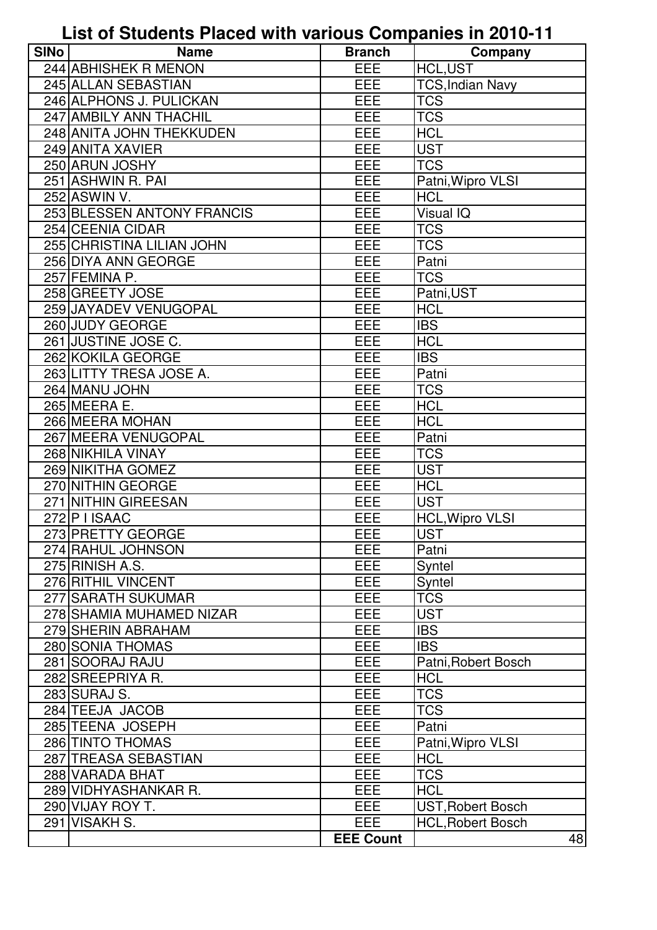## **List of Students Placed with various Companies in 2010-11**

| <b>SINo</b> | <b>Name</b>                | <b>Branch</b>    | Company                  |
|-------------|----------------------------|------------------|--------------------------|
|             | 244 ABHISHEK R MENON       | <b>EEE</b>       | <b>HCL,UST</b>           |
|             | 245 ALLAN SEBASTIAN        | EEE              | <b>TCS, Indian Navy</b>  |
|             | 246 ALPHONS J. PULICKAN    | EEE              | <b>TCS</b>               |
|             | 247 AMBILY ANN THACHIL     | EEE              | <b>TCS</b>               |
|             | 248 ANITA JOHN THEKKUDEN   | EEE              | <b>HCL</b>               |
|             | 249 ANITA XAVIER           | EEE              | <b>UST</b>               |
|             | 250 ARUN JOSHY             | EEE              | <b>TCS</b>               |
|             | 251 ASHWIN R. PAI          | EEE              | Patni, Wipro VLSI        |
|             | 252 ASWIN V.               | EEE              | <b>HCL</b>               |
|             | 253 BLESSEN ANTONY FRANCIS | EEE              | <b>Visual IQ</b>         |
|             | 254 CEENIA CIDAR           | EEE              | <b>TCS</b>               |
|             | 255 CHRISTINA LILIAN JOHN  | EEE              | <b>TCS</b>               |
|             | 256 DIYA ANN GEORGE        | EEE              | Patni                    |
|             | 257 FEMINA P.              | EEE              | <b>TCS</b>               |
|             | 258 GREETY JOSE            | EEE              | Patni, UST               |
|             | 259 JAYADEV VENUGOPAL      | EEE              | <b>HCL</b>               |
|             | 260 JUDY GEORGE            | EEE              | <b>IBS</b>               |
|             | 261 JUSTINE JOSE C.        | EEE              | <b>HCL</b>               |
|             | 262 KOKILA GEORGE          | EEE              | <b>IBS</b>               |
|             | 263 LITTY TRESA JOSE A.    | EEE              | Patni                    |
|             | 264 MANU JOHN              | EEE              | <b>TCS</b>               |
|             | 265 MEERA E.               | EEE              | <b>HCL</b>               |
|             | 266 MEERA MOHAN            | EEE              | <b>HCL</b>               |
|             | 267 MEERA VENUGOPAL        | EEE              | Patni                    |
|             | 268 NIKHILA VINAY          | EEE              | <b>TCS</b>               |
|             | 269 NIKITHA GOMEZ          | EEE              | <b>UST</b>               |
|             | 270 NITHIN GEORGE          | EEE              | <b>HCL</b>               |
|             | 271 NITHIN GIREESAN        | EEE              | <b>UST</b>               |
|             | 272 P I ISAAC              | EEE              | <b>HCL, Wipro VLSI</b>   |
|             | 273 PRETTY GEORGE          | EEE              | <b>UST</b>               |
|             | 274 RAHUL JOHNSON          | <b>EEE</b>       | Patni                    |
|             | 275 RINISH A.S.            | EEE              | Syntel                   |
|             | 276 RITHIL VINCENT         | <b>EEE</b>       | Syntel                   |
|             | 277 SARATH SUKUMAR         | EEE              | <b>TCS</b>               |
|             | 278 SHAMIA MUHAMED NIZAR   | EEE              | <b>UST</b>               |
|             | 279 SHERIN ABRAHAM         | EEE              | <b>IBS</b>               |
|             | 280 SONIA THOMAS           | EEE              | <b>IBS</b>               |
|             | 281 SOORAJ RAJU            | <b>EEE</b>       | Patni, Robert Bosch      |
|             | 282 SREEPRIYA R.           | EEE              | <b>HCL</b>               |
|             | 283 SURAJ S.               | EEE              | <b>TCS</b>               |
|             | 284 TEEJA JACOB            | EEE              | <b>TCS</b>               |
|             | 285 TEENA JOSEPH           | EEE              | Patni                    |
|             | 286 TINTO THOMAS           | EEE              | Patni, Wipro VLSI        |
|             | 287 TREASA SEBASTIAN       | EEE              | <b>HCL</b>               |
|             | 288 VARADA BHAT            | <b>EEE</b>       | <b>TCS</b>               |
|             | 289 VIDHYASHANKAR R.       | EEE              | <b>HCL</b>               |
|             | 290 VIJAY ROY T.           | <b>EEE</b>       | <b>UST, Robert Bosch</b> |
|             | 291 VISAKH S.              | <b>EEE</b>       | <b>HCL, Robert Bosch</b> |
|             |                            | <b>EEE Count</b> | 48                       |